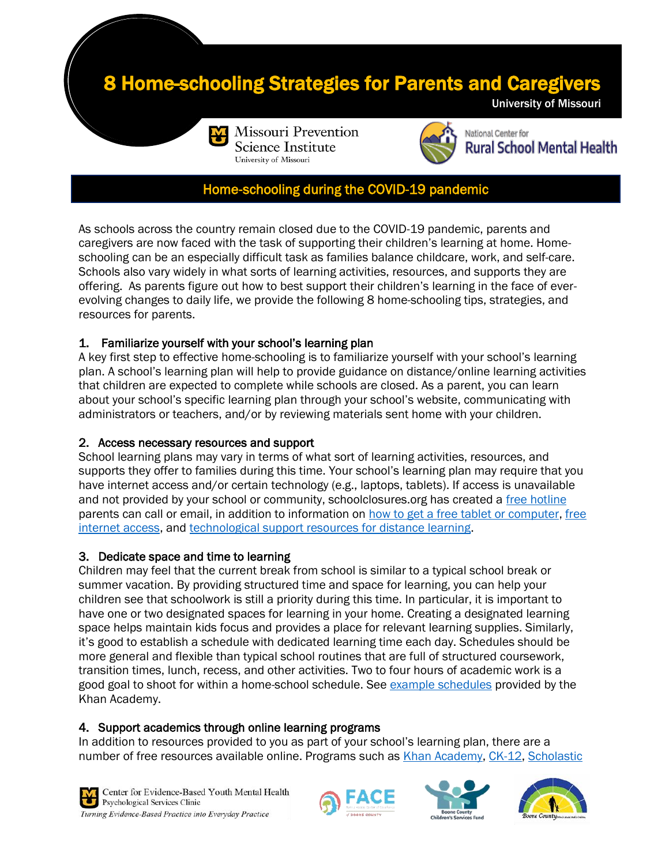# **Home-schooling Strategies for Parents and Caregivers**





National Center for **Rural School Mental Health** 

University of Missouri

## Home**-**schooling during the COVID-19 pandemic

As schools across the country remain closed due to the COVID-19 pandemic, parents and caregivers are now faced with the task of supporting their children's learning at home. Homeschooling can be an especially difficult task as families balance childcare, work, and self-care. Schools also vary widely in what sorts of learning activities, resources, and supports they are offering. As parents figure out how to best support their children's learning in the face of everevolving changes to daily life, we provide the following 8 home-schooling tips, strategies, and resources for parents.

### 1. Familiarize yourself with your school's learning plan

A key first step to effective home-schooling is to familiarize yourself with your school's learning plan. A school's learning plan will help to provide guidance on distance/online learning activities that children are expected to complete while schools are closed. As a parent, you can learn about your school's specific learning plan through your school's website, communicating with administrators or teachers, and/or by reviewing materials sent home with your children.

### 2. Access necessary resources and support

School learning plans may vary in terms of what sort of learning activities, resources, and supports they offer to families during this time. Your school's learning plan may require that you have internet access and/or certain technology (e.g., laptops, tablets). If access is unavailable and not provided by your school or community, schoolclosures.org has created a [free hotline](https://schoolclosures.org/free-hotline-1) parents can call or email, in addition to information on [how to get a free tablet or computer,](https://schoolclosures.org/#how-to-get-a-free-tablet-or-computer) [free](https://schoolclosures.org/#free-internet-access)  [internet access,](https://schoolclosures.org/#free-internet-access) and [technological support resources for distance learning.](https://schoolclosures.org/#technological-support-resources)

#### 3. Dedicate space and time to learning

Children may feel that the current break from school is similar to a typical school break or summer vacation. By providing structured time and space for learning, you can help your children see that schoolwork is still a priority during this time. In particular, it is important to have one or two designated spaces for learning in your home. Creating a designated learning space helps maintain kids focus and provides a place for relevant learning supplies. Similarly, it's good to establish a schedule with dedicated learning time each day. Schedules should be more general and flexible than typical school routines that are full of structured coursework, transition times, lunch, recess, and other activities. Two to four hours of academic work is a good goal to shoot for within a home-school schedule. See [example schedules](https://schoolclosures.org/) provided by the Khan Academy.

### 4. Support academics through online learning programs

In addition to resources provided to you as part of your school's learning plan, there are a number of free resources available online. Programs such as *Khan Academy, [CK-12,](https://www.ck12.org/student/) Scholastic*